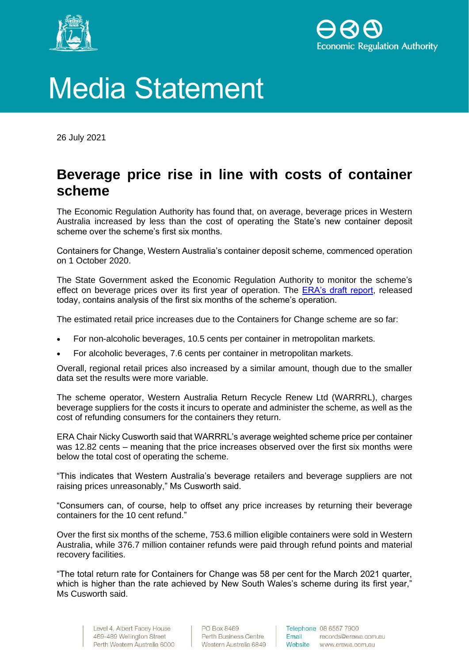



## **Media Statement**

26 July 2021

## **Beverage price rise in line with costs of container scheme**

The Economic Regulation Authority has found that, on average, beverage prices in Western Australia increased by less than the cost of operating the State's new container deposit scheme over the scheme's first six months.

Containers for Change, Western Australia's container deposit scheme, commenced operation on 1 October 2020.

The State Government asked the Economic Regulation Authority to monitor the scheme's effect on beverage prices over its first year of operation. The [ERA's draft report,](http://www.erawa.com.au/containerdeposits) released today, contains analysis of the first six months of the scheme's operation.

The estimated retail price increases due to the Containers for Change scheme are so far:

- For non-alcoholic beverages, 10.5 cents per container in metropolitan markets.
- For alcoholic beverages, 7.6 cents per container in metropolitan markets.

Overall, regional retail prices also increased by a similar amount, though due to the smaller data set the results were more variable.

The scheme operator, Western Australia Return Recycle Renew Ltd (WARRRL), charges beverage suppliers for the costs it incurs to operate and administer the scheme, as well as the cost of refunding consumers for the containers they return.

ERA Chair Nicky Cusworth said that WARRRL's average weighted scheme price per container was 12.82 cents – meaning that the price increases observed over the first six months were below the total cost of operating the scheme.

"This indicates that Western Australia's beverage retailers and beverage suppliers are not raising prices unreasonably," Ms Cusworth said.

"Consumers can, of course, help to offset any price increases by returning their beverage containers for the 10 cent refund."

Over the first six months of the scheme, 753.6 million eligible containers were sold in Western Australia, while 376.7 million container refunds were paid through refund points and material recovery facilities.

"The total return rate for Containers for Change was 58 per cent for the March 2021 quarter, which is higher than the rate achieved by New South Wales's scheme during its first year," Ms Cusworth said.